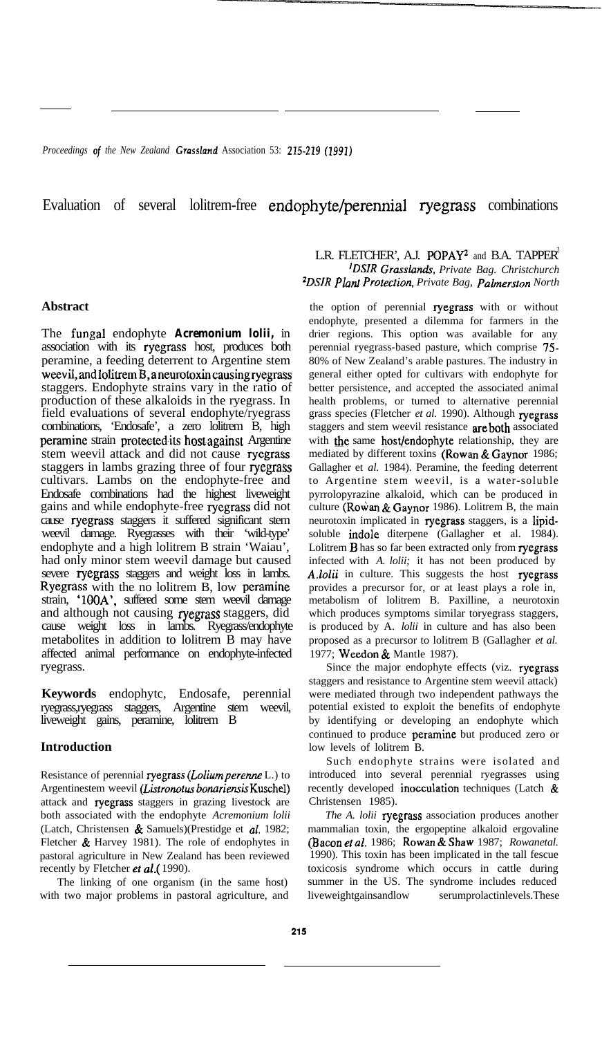Proceedings of the New Zealand Grassland Association 53: 215-219 (1991)

# Evaluation of several lolitrem-free endophyte/perennial ryegrass combinations

## **Abstract**

The fungal endophyte *Acremonium lolii,* in association with its ryegrass host, produces both peramine, a feeding deterrent to Argentine stem weevil,andlolitremB,aneurotoxincausingryegrass staggers. Endophyte strains vary in the ratio of production of these alkaloids in the ryegrass. In field evaluations of several endophyte/ryegrass combinations, 'Endosafe', a zero lolitrem B, high peramine strain protected its host against Argentine stem weevil attack and did not cause ryegrass staggers in lambs grazing three of four ryegrass cultivars. Lambs on the endophyte-free and Endosafe combinations had the highest liveweight gains and while endophyte-free ryegrass did not cause ryegrass staggers it suffered significant stem weevil damage. Ryegrasses with their 'wild-type' endophyte and a high lolitrem B strain 'Waiau', had only minor stem weevil damage but caused severe ryegrass staggers and weight loss in lambs. Ryegrass with the no lolitrem B, low peramine strain, 'IOOA', suffered some stem weevil damage and although not causing ryegrass staggers, did cause weight loss in lambs. Ryegrass/endophyte metabolites in addition to lolitrem B may have affected animal performance on endophyte-infected ryegrass.

**Keywords** endophytc, Endosafe, perennial ryegrass,ryegrass staggers, Argentine stem weevil, liveweight gains, peramine, lolitrem B

#### **Introduction**

Resistance of perennial ryegrass (Lolium perenne L.) to Argentinestem weevil (Listronotus bonariensis Kuschel) attack and ryegrass staggers in grazing livestock are both associated with the endophyte *Acremonium lolii* (Latch, Christensen & Samuels)(Prestidge et al. 1982; Fletcher & Harvey 1981). The role of endophytes in pastoral agriculture in New Zealand has been reviewed recently by Fletcher et al.(1990).

The linking of one organism (in the same host) with two major problems in pastoral agriculture, and

# L.R. FLETCHER', A.J. POPAY<sup>2</sup> and B.A. TAPPER<sup>2</sup> *'DSIR Grasslaruk, Private Bag. Christchurch =DSIR Plati Prorecrion, Private Bag, Palmerston North*

the option of perennial ryegrass with or without endophyte, presented a dilemma for farmers in the drier regions. This option was available for any perennial ryegrass-based pasture, which comprise 75- 80% of New Zealand's arable pastures. The industry in general either opted for cultivars with endophyte for better persistence, and accepted the associated animal health problems, or turned to alternative perennial grass species (Fletcher *et al.* 1990). Although ryegrass staggers and stem weevil resistance are both associated with the same host/endophyte relationship, they are mediated by different toxins (Rowan  $\&$  Gaynor 1986; Gallagher et *al.* 1984). Peramine, the feeding deterrent to Argentine stem weevil, is a water-soluble pyrrolopyrazine alkaloid, which can be produced in culture (Rowan & Gaynor 1986). Lolitrem B, the main neurotoxin implicated in ryegrass staggers, is a lipidsoluble indole diterpene (Gallagher et al. 1984). Lolitrem **B** has so far been extracted only from ryegrass infected with *A. lolii;* it has not been produced by A.lolii in culture. This suggests the host ryegrass provides a precursor for, or at least plays a role in, metabolism of lolitrem B. Paxilline, a neurotoxin which produces symptoms similar toryegrass staggers, is produced by A. *lolii* in culture and has also been proposed as a precursor to lolitrem B (Gallagher *et al.* 1977; Weedon & Mantle 1987).

Since the major endophyte effects (viz. ryegrass staggers and resistance to Argentine stem weevil attack) were mediated through two independent pathways the potential existed to exploit the benefits of endophyte by identifying or developing an endophyte which continued to produce peramine but produced zero or low levels of lolitrem B.

Such endophyte strains were isolated and introduced into several perennial ryegrasses using recently developed inocculation techniques (Latch & Christensen 1985).

*The A. lolii* ryegrass association produces another mammalian toxin, the ergopeptine alkaloid ergovaline (Baconetal. 1986; Rowan&Shaw 1987; *Rowanetal.* 1990). This toxin has been implicated in the tall fescue toxicosis syndrome which occurs in cattle during summer in the US. The syndrome includes reduced liveweightgainsandlow serumprolactinlevels.These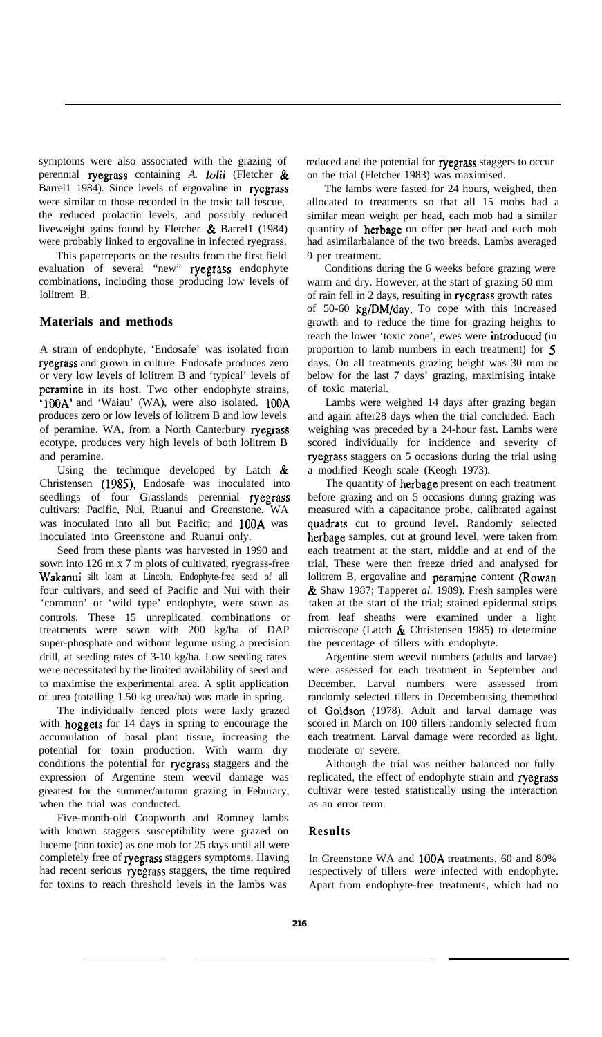symptoms were also associated with the grazing of perennial ryegrass containing *A. lolii* (Fletcher & Barrel1 1984). Since levels of ergovaline in ryegrass were similar to those recorded in the toxic tall fescue, the reduced prolactin levels, and possibly reduced liveweight gains found by Fletcher  $\&$  Barrell (1984) were probably linked to ergovaline in infected ryegrass.

This paperreports on the results from the first field evaluation of several "new" ryegrass endophyte combinations, including those producing low levels of lolitrem B.

# **Materials and methods**

A strain of endophyte, 'Endosafe' was isolated from ryegrass and grown in culture. Endosafe produces zero or very low levels of lolitrem B and 'typical' levels of peramine in its host. Two other endophyte strains, '100A' and 'Waiau' (WA), were also isolated. 100A produces zero or low levels of lolitrem B and low levels of peramine. WA, from a North Canterbury ryegrass ecotype, produces very high levels of both lolitrem B and peramine.

Using the technique developed by Latch  $\&$ Christensen (1985), Endosafe was inoculated into seedlings of four Grasslands perennial ryegrass cultivars: Pacific, Nui, Ruanui and Greenstone. WA was inoculated into all but Pacific; and 100A was inoculated into Greenstone and Ruanui only.

Seed from these plants was harvested in 1990 and sown into 126 m x 7 m plots of cultivated, ryegrass-free Wakanui silt loam at Lincoln. Endophyte-free seed of all four cultivars, and seed of Pacific and Nui with their 'common' or 'wild type' endophyte, were sown as controls. These 15 unreplicated combinations or treatments were sown with 200 kg/ha of DAP super-phosphate and without legume using a precision drill, at seeding rates of 3-10 kg/ha. Low seeding rates were necessitated by the limited availability of seed and to maximise the experimental area. A split application of urea (totalling 1.50 kg urea/ha) was made in spring.

The individually fenced plots were laxly grazed with hoggets for 14 days in spring to encourage the accumulation of basal plant tissue, increasing the potential for toxin production. With warm dry conditions the potential for ryegrass staggers and the expression of Argentine stem weevil damage was greatest for the summer/autumn grazing in Feburary, when the trial was conducted.

Five-month-old Coopworth and Romney lambs with known staggers susceptibility were grazed on luceme (non toxic) as one mob for 25 days until all were completely free of ryegrass staggers symptoms. Having had recent serious ryegrass staggers, the time required for toxins to reach threshold levels in the lambs was

reduced and the potential for ryegrass staggers to occur on the trial (Fletcher 1983) was maximised.

The lambs were fasted for 24 hours, weighed, then allocated to treatments so that all 15 mobs had a similar mean weight per head, each mob had a similar quantity of herbage on offer per head and each mob had asimilarbalance of the two breeds. Lambs averaged 9 per treatment.

Conditions during the 6 weeks before grazing were warm and dry. However, at the start of grazing 50 mm of rain fell in 2 days, resulting in ryegrass growth rates of 50-60 kg/DM/day. To cope with this increased growth and to reduce the time for grazing heights to reach the lower 'toxic zone', ewes were introduced (in proportion to lamb numbers in each treatment) for 5 days. On all treatments grazing height was 30 mm or below for the last 7 days' grazing, maximising intake of toxic material.

Lambs were weighed 14 days after grazing began and again after28 days when the trial concluded. Each weighing was preceded by a 24-hour fast. Lambs were scored individually for incidence and severity of ryegrass staggers on 5 occasions during the trial using a modified Keogh scale (Keogh 1973).

The quantity of herbage present on each treatment before grazing and on 5 occasions during grazing was measured with a capacitance probe, calibrated against quadrats cut to ground level. Randomly selected herbage samples, cut at ground level, were taken from each treatment at the start, middle and at end of the trial. These were then freeze dried and analysed for lolitrem B, ergovaline and peramine content (Rowan & Shaw 1987; Tapperet *al.* 1989). Fresh samples were taken at the start of the trial; stained epidermal strips from leaf sheaths were examined under a light microscope (Latch  $\&$  Christensen 1985) to determine the percentage of tillers with endophyte.

Argentine stem weevil numbers (adults and larvae) were assessed for each treatment in September and December. Larval numbers were assessed from randomly selected tillers in Decemberusing themethod of Goldson (1978). Adult and larval damage was scored in March on 100 tillers randomly selected from each treatment. Larval damage were recorded as light, moderate or severe.

Although the trial was neither balanced nor fully replicated, the effect of endophyte strain and ryegrass cultivar were tested statistically using the interaction as an error term.

# **Results**

In Greenstone WA and 1OOA treatments, 60 and 80% respectively of tillers *were* infected with endophyte. Apart from endophyte-free treatments, which had no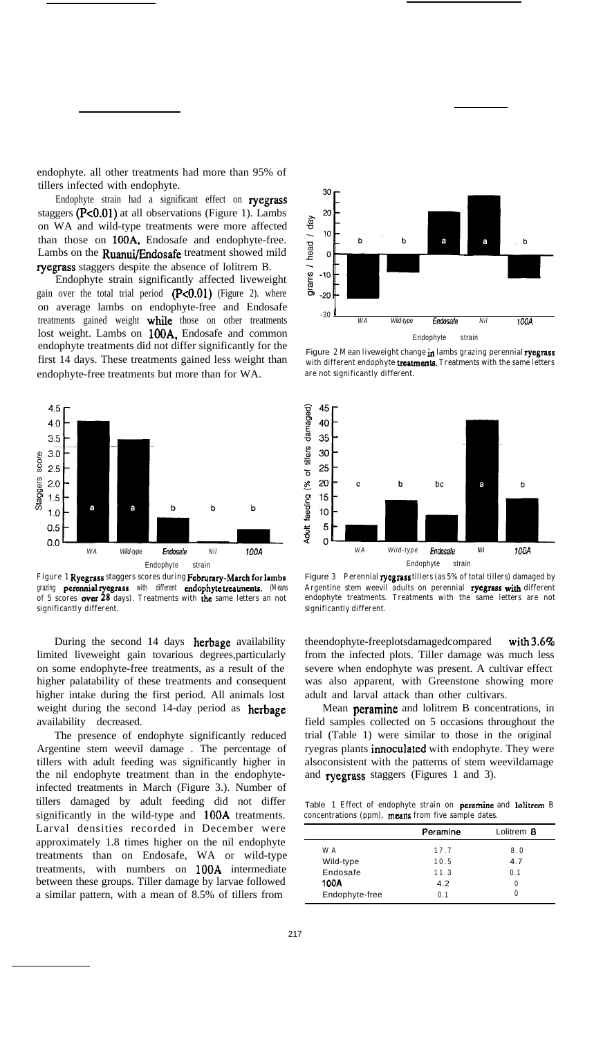endophyte. all other treatments had more than 95% of tillers infected with endophyte.

Endophyte strain had a significant effect on ryegrass staggers  $(P<0.01)$  at all observations (Figure 1). Lambs on WA and wild-type treatments were more affected than those on 100A, Endosafe and endophyte-free. Lambs on the Ruanui/Endosafe treatment showed mild ryegrass staggers despite the absence of lolitrem B.

Endophyte strain significantly affected liveweight gain over the total trial period  $(P<0.01)$  (Figure 2). where on average lambs on endophyte-free and Endosafe treatments gained weight while those on other treatments lost weight. Lambs on 100A, Endosafe and common endophyte treatments did not differ significantly for the first 14 days. These treatments gained less weight than endophyte-free treatments but more than for WA.



**Figure 1 Ryegrass staggers scores during Febmrary-March forlambs grazing peremtialryegrass with different endophytetreatmcnts. (Means of 5 scores over 28 days). Treatments with the same letters an not significantly different.**

During the second 14 days herbage availability limited liveweight gain tovarious degrees,particularly on some endophyte-free treatments, as a result of the higher palatability of these treatments and consequent higher intake during the first period. All animals lost weight during the second 14-day period as **herbage** availability decreased.

The presence of endophyte significantly reduced Argentine stem weevil damage . The percentage of tillers with adult feeding was significantly higher in the nil endophyte treatment than in the endophyteinfected treatments in March (Figure 3.). Number of tillers damaged by adult feeding did not differ significantly in the wild-type and 1OOA treatments. Larval densities recorded in December were approximately 1.8 times higher on the nil endophyte treatments than on Endosafe, WA or wild-type treatments, with numbers on 1OOA intermediate between these groups. Tiller damage by larvae followed a similar pattern, with a mean of 8.5% of tillers from



Figure **2 Mean liveweight change in lambs grazing perennial ryegrass with different endophyte treatmenta. Treatments with the same letters are not significantly different.**



Figure **3 Perennial ryegrass tillers (as 5% of total tillers) damaged by Argentine stem weevil adults on perennial ryegrass with different endophyte treatments. Treatments with the same letters are not significantly different.**

theendophyte-freeplotsdamagedcompared with 3.6% from the infected plots. Tiller damage was much less severe when endophyte was present. A cultivar effect was also apparent, with Greenstone showing more adult and larval attack than other cultivars.

Mean peramine and lolitrem B concentrations, in field samples collected on 5 occasions throughout the trial (Table 1) were similar to those in the original ryegras plants **innoculated** with endophyte. They were alsoconsistent with the patterns of stem weevildamage and ryegrass staggers (Figures 1 and 3).

Table 1 Effect of endophyte strain on peramine and lolitrem **B concentrations (ppm), mesns from five sample dates.**

|                | Peramine | Lolitrem <b>B</b> |
|----------------|----------|-------------------|
| W A            | 17.7     | 8.0               |
| Wild-type      | 10.5     | 4.7               |
| Endosafe       | 11.3     | 0.1               |
| 100A           | 4.2      | 0                 |
| Endophyte-free | 0.1      | 0                 |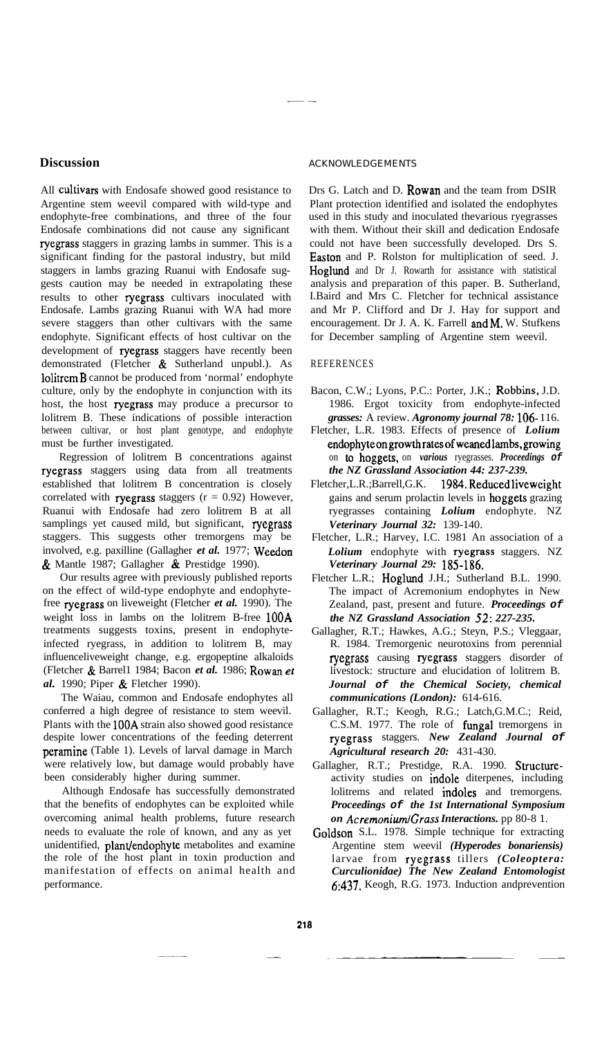#### **Discussion**

All cultivars with Endosafe showed good resistance to Argentine stem weevil compared with wild-type and endophyte-free combinations, and three of the four Endosafe combinations did not cause any significant ryegrass staggers in grazing lambs in summer. This is a significant finding for the pastoral industry, but mild staggers in lambs grazing Ruanui with Endosafe suggests caution may be needed in extrapolating these results to other ryegrass cultivars inoculated with Endosafe. Lambs grazing Ruanui with WA had more severe staggers than other cultivars with the same endophyte. Significant effects of host cultivar on the development of ryegrass staggers have recently been demonstrated (Fletcher & Sutherland unpubl.). As 1olitremB cannot be produced from 'normal' endophyte culture, only by the endophyte in conjunction with its host, the host ryegrass may produce a precursor to lolitrem B. These indications of possible interaction between cultivar, or host plant genotype, and endophyte must be further investigated.

Regression of lolitrem B concentrations against ryegrass staggers using data from all treatments established that lolitrem B concentration is closely correlated with ryegrass staggers  $(r = 0.92)$  However, Ruanui with Endosafe had zero lolitrem B at all samplings yet caused mild, but significant, ryegrass staggers. This suggests other tremorgens may be involved, e.g. paxilline (Gallagher *et al.* 1977; Weedon & Mantle 1987; Gallagher & Prestidge 1990).

Our results agree with previously published reports on the effect of wild-type endophyte and endophytefree ryegrass on liveweight (Fletcher *et al.* 1990). The weight loss in lambs on the lolitrem B-free 1OOA treatments suggests toxins, present in endophyteinfected ryegrass, in addition to lolitrem B, may influenceliveweight change, e.g. ergopeptine alkaloids (Fletcher & Barrel1 1984; Bacon *et al.* 1986; Rowan et *al.* 1990; Piper & Fletcher 1990).

The Waiau, common and Endosafe endophytes all conferred a high degree of resistance to stem weevil. Plants with the 1OOA strain also showed good resistance despite lower concentrations of the feeding deterrent peramine (Table 1). Levels of larval damage in March were relatively low, but damage would probably have been considerably higher during summer.

Although Endosafe has successfully demonstrated that the benefits of endophytes can be exploited while overcoming animal health problems, future research needs to evaluate the role of known, and any as yet unidentified, plant/endophyte metabolites and examine the role of the host plant in toxin production and manifestation of effects on animal health and performance.

#### ACKNOWLEDGEMENTS

Drs G. Latch and D. Rowan and the team from DSIR Plant protection identified and isolated the endophytes used in this study and inoculated thevarious ryegrasses with them. Without their skill and dedication Endosafe could not have been successfully developed. Drs S. Easton and P. Rolston for multiplication of seed. J. Hoglund and Dr J. Rowarth for assistance with statistical analysis and preparation of this paper. B. Sutherland, I.Baird and Mrs C. Fletcher for technical assistance and Mr P. Clifford and Dr J. Hay for support and encouragement. Dr J. A. K. Farrell  $and M$ . W. Stufkens for December sampling of Argentine stem weevil.

### REFERENCES

- Bacon, C.W.; Lyons, P.C.: Porter, J.K.; Robbins, J.D. 1986. Ergot toxicity from endophyte-infected *grasses:* A review. *Agronomy journal 78:* 106- 116.
- Fletcher, L.R. 1983. Effects of presence of *Lolium* endophyteongrowthratesofweanedlambs.growing on *to* hoggets. on *various* ryegrasses. *Proceedings of the NZ Grassland Association 44: 237-239.*
- Fletcher,L.R.;Barrell,G.K. 1984.Reducedliveweight gains and serum prolactin levels in hoggets grazing ryegrasses containing *Lolium* endophyte. NZ *Veterinary Journal 32:* 139-140.
- Fletcher, L.R.; Harvey, I.C. 1981 An association of a *Lolium* endophyte with ryegrass staggers. NZ *Veterinary Journal 29:* 185-186.
- Fletcher L.R.; Hoglund J.H.; Sutherland B.L. 1990. The impact of Acremonium endophytes in New Zealand, past, present and future. *Proceedings of the NZ Grassland Association 52: 227-235.*
- Gallagher, R.T.; Hawkes, A.G.; Steyn, P.S.; Vleggaar, R. 1984. Tremorgenic neurotoxins from perennial ryegrass causing ryegrass staggers disorder of livestock: structure and elucidation of lolitrem B. *Journal of the Chemical Society, chemical communications (London):* 614-616.
- Gallagher, R.T.; Keogh, R.G.; Latch,G.M.C.; Reid, C.S.M. 1977. The role of fungal tremorgens in ryegrass staggers. *New Zealand Journal of Agricultural research 20:* 431-430.
- Gallagher, R.T.; Prestidge, R.A. 1990. Structureactivity studies on indole diterpenes, including lolitrems and related indoles and tremorgens. *Proceedings of the 1st International Symposium on AcremoniumlGrass Interactions.* pp 80-8 1.
- Goldson S.L. 1978. Simple technique for extracting Argentine stem weevil *(Hyperodes bonariensis)* larvae from ryegrass tillers *(Coleoptera: Curculionidae) The New Zealand Entomologist* 6:437. Keogh, R.G. 1973. Induction andprevention